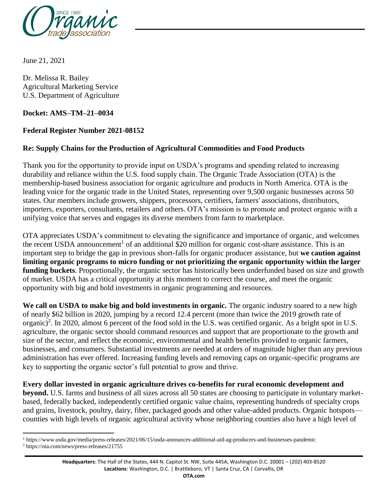

June 21, 2021

Dr. Melissa R. Bailey Agricultural Marketing Service U.S. Department of Agriculture

### **Docket: AMS–TM–21–0034**

## **Federal Register Number 2021-08152**

## **Re: Supply Chains for the Production of Agricultural Commodities and Food Products**

Thank you for the opportunity to provide input on USDA's programs and spending related to increasing durability and reliance within the U.S. food supply chain. The Organic Trade Association (OTA) is the membership-based business association for organic agriculture and products in North America. OTA is the leading voice for the organic trade in the United States, representing over 9,500 organic businesses across 50 states. Our members include growers, shippers, processors, certifiers, farmers' associations, distributors, importers, exporters, consultants, retailers and others. OTA's mission is to promote and protect organic with a unifying voice that serves and engages its diverse members from farm to marketplace.

OTA appreciates USDA's commitment to elevating the significance and importance of organic, and welcomes the recent USDA announcement<sup>1</sup> of an additional \$20 million for organic cost-share assistance. This is an important step to bridge the gap in previous short-falls for organic producer assistance, but **we caution against limiting organic programs to micro funding or not prioritizing the organic opportunity within the larger**  funding buckets. Proportionally, the organic sector has historically been underfunded based on size and growth of market. USDA has a critical opportunity at this moment to correct the course, and meet the organic opportunity with big and bold investments in organic programming and resources.

**We call on USDA to make big and bold investments in organic.** The organic industry soared to a new high of nearly \$62 billion in 2020, jumping by a record 12.4 percent (more than twice the 2019 growth rate of organic)<sup>2</sup>. In 2020, almost 6 percent of the food sold in the U.S. was certified organic. As a bright spot in U.S. agriculture, the organic sector should command resources and support that are proportionate to the growth and size of the sector, and reflect the economic, environmental and health benefits provided to organic farmers, businesses, and consumers. Substantial investments are needed at orders of magnitude higher than any previous administration has ever offered. Increasing funding levels and removing caps on organic-specific programs are key to supporting the organic sector's full potential to grow and thrive.

**Every dollar invested in organic agriculture drives co-benefits for rural economic development and beyond.** U.S. farms and business of all sizes across all 50 states are choosing to participate in voluntary marketbased, federally backed, independently certified organic value chains, representing hundreds of specialty crops and grains, livestock, poultry, dairy, fiber, packaged goods and other value-added products. Organic hotspots counties with high levels of organic agricultural activity whose neighboring counties also have a high level of

 $\overline{\phantom{a}}$ <sup>1</sup> https://www.usda.gov/media/press-releases/2021/06/15/usda-announces-additional-aid-ag-producers-and-businesses-pandemic <sup>2</sup> https://ota.com/news/press-releases/21755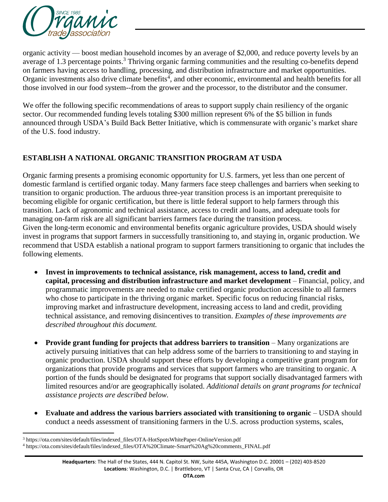

organic activity — boost median household incomes by an average of \$2,000, and reduce poverty levels by an average of 1.3 percentage points.<sup>3</sup> Thriving organic farming communities and the resulting co-benefits depend on farmers having access to handling, processing, and distribution infrastructure and market opportunities. Organic investments also drive climate benefits<sup>4</sup>, and other economic, environmental and health benefits for all those involved in our food system--from the grower and the processor, to the distributor and the consumer.

We offer the following specific recommendations of areas to support supply chain resiliency of the organic sector. Our recommended funding levels totaling \$300 million represent 6% of the \$5 billion in funds announced through USDA's Build Back Better Initiative, which is commensurate with organic's market share of the U.S. food industry.

# **ESTABLISH A NATIONAL ORGANIC TRANSITION PROGRAM AT USDA**

Organic farming presents a promising economic opportunity for U.S. farmers, yet less than one percent of domestic farmland is certified organic today. Many farmers face steep challenges and barriers when seeking to transition to organic production. The arduous three-year transition process is an important prerequisite to becoming eligible for organic certification, but there is little federal support to help farmers through this transition. Lack of agronomic and technical assistance, access to credit and loans, and adequate tools for managing on-farm risk are all significant barriers farmers face during the transition process. Given the long-term economic and environmental benefits organic agriculture provides, USDA should wisely invest in programs that support farmers in successfully transitioning to, and staying in, organic production. We recommend that USDA establish a national program to support farmers transitioning to organic that includes the following elements.

- **Invest in improvements to technical assistance, risk management, access to land, credit and capital, processing and distribution infrastructure and market development** – Financial, policy, and programmatic improvements are needed to make certified organic production accessible to all farmers who chose to participate in the thriving organic market. Specific focus on reducing financial risks, improving market and infrastructure development, increasing access to land and credit, providing technical assistance, and removing disincentives to transition. *Examples of these improvements are described throughout this document.*
- **Provide grant funding for projects that address barriers to transition** Many organizations are actively pursuing initiatives that can help address some of the barriers to transitioning to and staying in organic production. USDA should support these efforts by developing a competitive grant program for organizations that provide programs and services that support farmers who are transiting to organic. A portion of the funds should be designated for programs that support socially disadvantaged farmers with limited resources and/or are geographically isolated. *Additional details on grant programs for technical assistance projects are described below.*
- **Evaluate and address the various barriers associated with transitioning to organic** USDA should conduct a needs assessment of transitioning farmers in the U.S. across production systems, scales,

 $\overline{\phantom{a}}$ <sup>3</sup> https://ota.com/sites/default/files/indexed\_files/OTA-HotSpotsWhitePaper-OnlineVersion.pdf

<sup>4</sup> https://ota.com/sites/default/files/indexed\_files/OTA%20Climate-Smart%20Ag%20comments\_FINAL.pdf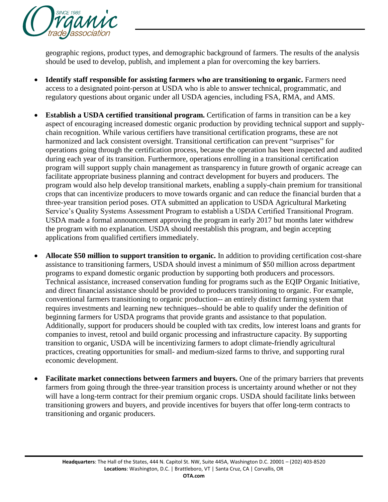

geographic regions, product types, and demographic background of farmers. The results of the analysis should be used to develop, publish, and implement a plan for overcoming the key barriers.

- **Identify staff responsible for assisting farmers who are transitioning to organic.** Farmers need access to a designated point-person at USDA who is able to answer technical, programmatic, and regulatory questions about organic under all USDA agencies, including FSA, RMA, and AMS.
- **Establish a USDA certified transitional program.** Certification of farms in transition can be a key aspect of encouraging increased domestic organic production by providing technical support and supplychain recognition. While various certifiers have transitional certification programs, these are not harmonized and lack consistent oversight. Transitional certification can prevent "surprises" for operations going through the certification process, because the operation has been inspected and audited during each year of its transition. Furthermore, operations enrolling in a transitional certification program will support supply chain management as transparency in future growth of organic acreage can facilitate appropriate business planning and contract development for buyers and producers. The program would also help develop transitional markets, enabling a supply-chain premium for transitional crops that can incentivize producers to move towards organic and can reduce the financial burden that a three-year transition period poses. OTA submitted an application to USDA Agricultural Marketing Service's Quality Systems Assessment Program to establish a USDA Certified Transitional Program. USDA made a formal announcement approving the program in early 2017 but months later withdrew the program with no explanation. USDA should reestablish this program, and begin accepting applications from qualified certifiers immediately.
- **Allocate \$50 million to support transition to organic.** In addition to providing certification cost-share assistance to transitioning farmers, USDA should invest a minimum of \$50 million across department programs to expand domestic organic production by supporting both producers and processors. Technical assistance, increased conservation funding for programs such as the EQIP Organic Initiative, and direct financial assistance should be provided to producers transitioning to organic. For example, conventional farmers transitioning to organic production-- an entirely distinct farming system that requires investments and learning new techniques--should be able to qualify under the definition of beginning farmers for USDA programs that provide grants and assistance to that population. Additionally, support for producers should be coupled with tax credits, low interest loans and grants for companies to invest, retool and build organic processing and infrastructure capacity. By supporting transition to organic, USDA will be incentivizing farmers to adopt climate-friendly agricultural practices, creating opportunities for small- and medium-sized farms to thrive, and supporting rural economic development.
- **Facilitate market connections between farmers and buyers.** One of the primary barriers that prevents farmers from going through the three-year transition process is uncertainty around whether or not they will have a long-term contract for their premium organic crops. USDA should facilitate links between transitioning growers and buyers, and provide incentives for buyers that offer long-term contracts to transitioning and organic producers.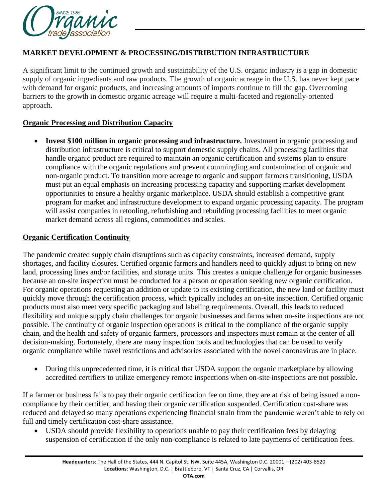

## **MARKET DEVELOPMENT & PROCESSING/DISTRIBUTION INFRASTRUCTURE**

A significant limit to the continued growth and sustainability of the U.S. organic industry is a gap in domestic supply of organic ingredients and raw products. The growth of organic acreage in the U.S. has never kept pace with demand for organic products, and increasing amounts of imports continue to fill the gap. Overcoming barriers to the growth in domestic organic acreage will require a multi-faceted and regionally-oriented approach.

### **Organic Processing and Distribution Capacity**

• Invest \$100 million in organic processing and infrastructure. Investment in organic processing and distribution infrastructure is critical to support domestic supply chains. All processing facilities that handle organic product are required to maintain an organic certification and systems plan to ensure compliance with the organic regulations and prevent commingling and contamination of organic and non-organic product. To transition more acreage to organic and support farmers transitioning, USDA must put an equal emphasis on increasing processing capacity and supporting market development opportunities to ensure a healthy organic marketplace. USDA should establish a competitive grant program for market and infrastructure development to expand organic processing capacity. The program will assist companies in retooling, refurbishing and rebuilding processing facilities to meet organic market demand across all regions, commodities and scales.

#### **Organic Certification Continuity**

The pandemic created supply chain disruptions such as capacity constraints, increased demand, supply shortages, and facility closures. Certified organic farmers and handlers need to quickly adjust to bring on new land, processing lines and/or facilities, and storage units. This creates a unique challenge for organic businesses because an on-site inspection must be conducted for a person or operation seeking new organic certification. For organic operations requesting an addition or update to its existing certification, the new land or facility must quickly move through the certification process, which typically includes an on-site inspection. Certified organic products must also meet very specific packaging and labeling requirements. Overall, this leads to reduced flexibility and unique supply chain challenges for organic businesses and farms when on-site inspections are not possible. The continuity of organic inspection operations is critical to the compliance of the organic supply chain, and the health and safety of organic farmers, processors and inspectors must remain at the center of all decision-making. Fortunately, there are many inspection tools and technologies that can be used to verify organic compliance while travel restrictions and advisories associated with the novel coronavirus are in place.

• During this unprecedented time, it is critical that USDA support the organic marketplace by allowing accredited certifiers to utilize emergency remote inspections when on-site inspections are not possible.

If a farmer or business fails to pay their organic certification fee on time, they are at risk of being issued a noncompliance by their certifier, and having their organic certification suspended. Certification cost-share was reduced and delayed so many operations experiencing financial strain from the pandemic weren't able to rely on full and timely certification cost-share assistance.

 USDA should provide flexibility to operations unable to pay their certification fees by delaying suspension of certification if the only non-compliance is related to late payments of certification fees.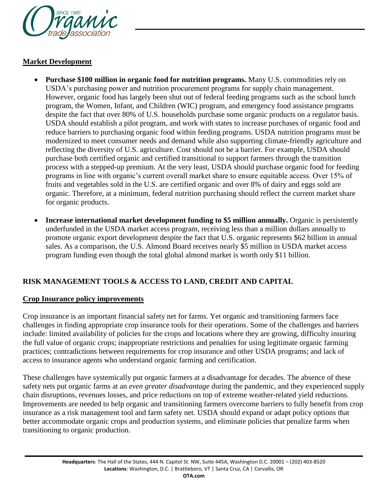

## **Market Development**

- Purchase \$100 million in organic food for nutrition programs. Many U.S. commodities rely on USDA's purchasing power and nutrition procurement programs for supply chain management. However, organic food has largely been shut out of federal feeding programs such as the school lunch program, the Women, Infant, and Children (WIC) program, and emergency food assistance programs despite the fact that over 80% of U.S. households purchase some organic products on a regulator basis. USDA should establish a pilot program, and work with states to increase purchases of organic food and reduce barriers to purchasing organic food within feeding programs. USDA nutrition programs must be modernized to meet consumer needs and demand while also supporting climate-friendly agriculture and reflecting the diversity of U.S. agriculture. Cost should not be a barrier. For example, USDA should purchase both certified organic and certified transitional to support farmers through the transition process with a stepped-up premium. At the very least, USDA should purchase organic food for feeding programs in line with organic's current overall market share to ensure equitable access. Over 15% of fruits and vegetables sold in the U.S. are certified organic and over 8% of dairy and eggs sold are organic. Therefore, at a minimum, federal nutrition purchasing should reflect the current market share for organic products.
- **Increase international market development funding to \$5 million annually.** Organic is persistently underfunded in the USDA market access program, receiving less than a million dollars annually to promote organic export development despite the fact that U.S. organic represents \$62 billion in annual sales. As a comparison, the U.S. Almond Board receives nearly \$5 million in USDA market access program funding even though the total global almond market is worth only \$11 billion.

# **RISK MANAGEMENT TOOLS & ACCESS TO LAND, CREDIT AND CAPITAL**

#### **Crop Insurance policy improvements**

Crop insurance is an important financial safety net for farms. Yet organic and transitioning farmers face challenges in finding appropriate crop insurance tools for their operations. Some of the challenges and barriers include: limited availability of policies for the crops and locations where they are growing, difficulty insuring the full value of organic crops; inappropriate restrictions and penalties for using legitimate organic farming practices; contradictions between requirements for crop insurance and other USDA programs; and lack of access to insurance agents who understand organic farming and certification.

These challenges have systemically put organic farmers at a disadvantage for decades. The absence of these safety nets put organic farms at an *even greater disadvantage* during the pandemic, and they experienced supply chain disruptions, revenues losses, and price reductions on top of extreme weather-related yield reductions. Improvements are needed to help organic and transitioning farmers overcome barriers to fully benefit from crop insurance as a risk management tool and farm safety net. USDA should expand or adapt policy options that better accommodate organic crops and production systems, and eliminate policies that penalize farms when transitioning to organic production.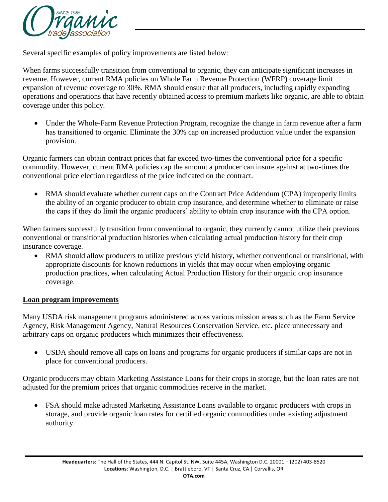

Several specific examples of policy improvements are listed below:

When farms successfully transition from conventional to organic, they can anticipate significant increases in revenue. However, current RMA policies on Whole Farm Revenue Protection (WFRP) coverage limit expansion of revenue coverage to 30%. RMA should ensure that all producers, including rapidly expanding operations and operations that have recently obtained access to premium markets like organic, are able to obtain coverage under this policy.

 Under the Whole-Farm Revenue Protection Program, recognize the change in farm revenue after a farm has transitioned to organic. Eliminate the 30% cap on increased production value under the expansion provision.

Organic farmers can obtain contract prices that far exceed two-times the conventional price for a specific commodity. However, current RMA policies cap the amount a producer can insure against at two-times the conventional price election regardless of the price indicated on the contract.

• RMA should evaluate whether current caps on the Contract Price Addendum (CPA) improperly limits the ability of an organic producer to obtain crop insurance, and determine whether to eliminate or raise the caps if they do limit the organic producers' ability to obtain crop insurance with the CPA option.

When farmers successfully transition from conventional to organic, they currently cannot utilize their previous conventional or transitional production histories when calculating actual production history for their crop insurance coverage.

 RMA should allow producers to utilize previous yield history, whether conventional or transitional, with appropriate discounts for known reductions in yields that may occur when employing organic production practices, when calculating Actual Production History for their organic crop insurance coverage.

#### **Loan program improvements**

Many USDA risk management programs administered across various mission areas such as the Farm Service Agency, Risk Management Agency, Natural Resources Conservation Service, etc. place unnecessary and arbitrary caps on organic producers which minimizes their effectiveness.

 USDA should remove all caps on loans and programs for organic producers if similar caps are not in place for conventional producers.

Organic producers may obtain Marketing Assistance Loans for their crops in storage, but the loan rates are not adjusted for the premium prices that organic commodities receive in the market.

 FSA should make adjusted Marketing Assistance Loans available to organic producers with crops in storage, and provide organic loan rates for certified organic commodities under existing adjustment authority.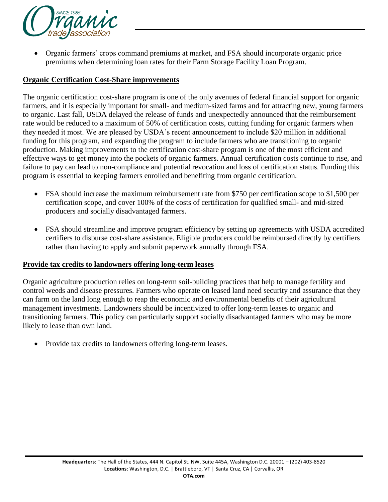

 Organic farmers' crops command premiums at market, and FSA should incorporate organic price premiums when determining loan rates for their Farm Storage Facility Loan Program.

### **Organic Certification Cost-Share improvements**

The organic certification cost-share program is one of the only avenues of federal financial support for organic farmers, and it is especially important for small- and medium-sized farms and for attracting new, young farmers to organic. Last fall, USDA delayed the release of funds and unexpectedly announced that the reimbursement rate would be reduced to a maximum of 50% of certification costs, cutting funding for organic farmers when they needed it most. We are pleased by USDA's recent announcement to include \$20 million in additional funding for this program, and expanding the program to include farmers who are transitioning to organic production. Making improvements to the certification cost-share program is one of the most efficient and effective ways to get money into the pockets of organic farmers. Annual certification costs continue to rise, and failure to pay can lead to non-compliance and potential revocation and loss of certification status. Funding this program is essential to keeping farmers enrolled and benefiting from organic certification.

- FSA should increase the maximum reimbursement rate from \$750 per certification scope to \$1,500 per certification scope, and cover 100% of the costs of certification for qualified small- and mid-sized producers and socially disadvantaged farmers.
- FSA should streamline and improve program efficiency by setting up agreements with USDA accredited certifiers to disburse cost-share assistance. Eligible producers could be reimbursed directly by certifiers rather than having to apply and submit paperwork annually through FSA.

#### **Provide tax credits to landowners offering long-term leases**

Organic agriculture production relies on long-term soil-building practices that help to manage fertility and control weeds and disease pressures. Farmers who operate on leased land need security and assurance that they can farm on the land long enough to reap the economic and environmental benefits of their agricultural management investments. Landowners should be incentivized to offer long-term leases to organic and transitioning farmers. This policy can particularly support socially disadvantaged farmers who may be more likely to lease than own land.

Provide tax credits to landowners offering long-term leases.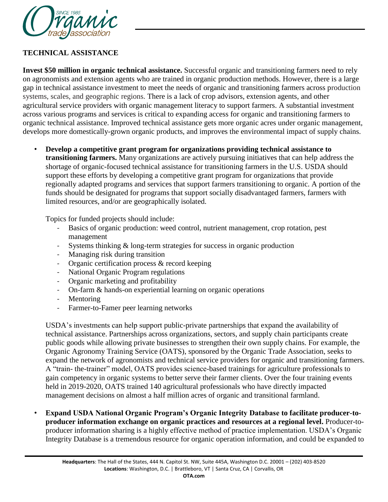

# **TECHNICAL ASSISTANCE**

**Invest \$50 million in organic technical assistance.** Successful organic and transitioning farmers need to rely on agronomists and extension agents who are trained in organic production methods. However, there is a large gap in technical assistance investment to meet the needs of organic and transitioning farmers across production systems, scales, and geographic regions. There is a lack of crop advisors, extension agents, and other agricultural service providers with organic management literacy to support farmers. A substantial investment across various programs and services is critical to expanding access for organic and transitioning farmers to organic technical assistance. Improved technical assistance gets more organic acres under organic management, develops more domestically-grown organic products, and improves the environmental impact of supply chains.

*•* **Develop a competitive grant program for organizations providing technical assistance to transitioning farmers.** Many organizations are actively pursuing initiatives that can help address the shortage of organic-focused technical assistance for transitioning farmers in the U.S. USDA should support these efforts by developing a competitive grant program for organizations that provide regionally adapted programs and services that support farmers transitioning to organic. A portion of the funds should be designated for programs that support socially disadvantaged farmers, farmers with limited resources, and/or are geographically isolated.

Topics for funded projects should include:

- *-* Basics of organic production: weed control, nutrient management, crop rotation, pest management
- *-* Systems thinking & long-term strategies for success in organic production
- *-* Managing risk during transition
- *-* Organic certification process & record keeping
- *-* National Organic Program regulations
- *-* Organic marketing and profitability
- *-* On-farm & hands-on experiential learning on organic operations
- *-* Mentoring
- *-* Farmer-to-Famer peer learning networks

USDA's investments can help support public-private partnerships that expand the availability of technical assistance. Partnerships across organizations, sectors, and supply chain participants create public goods while allowing private businesses to strengthen their own supply chains. For example, the Organic Agronomy Training Service (OATS), sponsored by the Organic Trade Association, seeks to expand the network of agronomists and technical service providers for organic and transitioning farmers. A "train- the-trainer" model, OATS provides science-based trainings for agriculture professionals to gain competency in organic systems to better serve their farmer clients. Over the four training events held in 2019-2020, OATS trained 140 agricultural professionals who have directly impacted management decisions on almost a half million acres of organic and transitional farmland.

*•* **Expand USDA National Organic Program's Organic Integrity Database to facilitate producer-toproducer information exchange on organic practices and resources at a regional level.** Producer-toproducer information sharing is a highly effective method of practice implementation. USDA's Organic Integrity Database is a tremendous resource for organic operation information, and could be expanded to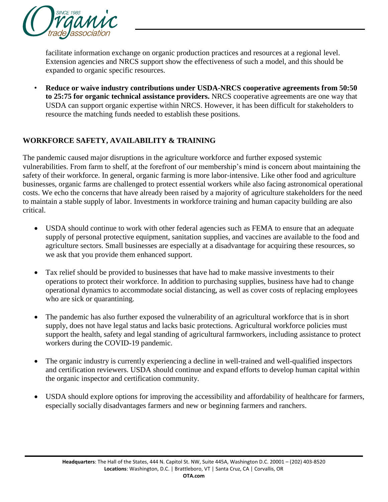

facilitate information exchange on organic production practices and resources at a regional level. Extension agencies and NRCS support show the effectiveness of such a model, and this should be expanded to organic specific resources.

*•* **Reduce or waive industry contributions under USDA-NRCS cooperative agreements from 50:50 to 25:75 for organic technical assistance providers.** NRCS cooperative agreements are one way that USDA can support organic expertise within NRCS. However, it has been difficult for stakeholders to resource the matching funds needed to establish these positions.

# **WORKFORCE SAFETY, AVAILABILITY & TRAINING**

The pandemic caused major disruptions in the agriculture workforce and further exposed systemic vulnerabilities. From farm to shelf, at the forefront of our membership's mind is concern about maintaining the safety of their workforce. In general, organic farming is more labor-intensive. Like other food and agriculture businesses, organic farms are challenged to protect essential workers while also facing astronomical operational costs. We echo the concerns that have already been raised by a majority of agriculture stakeholders for the need to maintain a stable supply of labor. Investments in workforce training and human capacity building are also critical.

- USDA should continue to work with other federal agencies such as FEMA to ensure that an adequate supply of personal protective equipment, sanitation supplies, and vaccines are available to the food and agriculture sectors. Small businesses are especially at a disadvantage for acquiring these resources, so we ask that you provide them enhanced support.
- Tax relief should be provided to businesses that have had to make massive investments to their operations to protect their workforce. In addition to purchasing supplies, business have had to change operational dynamics to accommodate social distancing, as well as cover costs of replacing employees who are sick or quarantining.
- The pandemic has also further exposed the vulnerability of an agricultural workforce that is in short supply, does not have legal status and lacks basic protections. Agricultural workforce policies must support the health, safety and legal standing of agricultural farmworkers, including assistance to protect workers during the COVID-19 pandemic.
- The organic industry is currently experiencing a decline in well-trained and well-qualified inspectors and certification reviewers. USDA should continue and expand efforts to develop human capital within the organic inspector and certification community.
- USDA should explore options for improving the accessibility and affordability of healthcare for farmers, especially socially disadvantages farmers and new or beginning farmers and ranchers.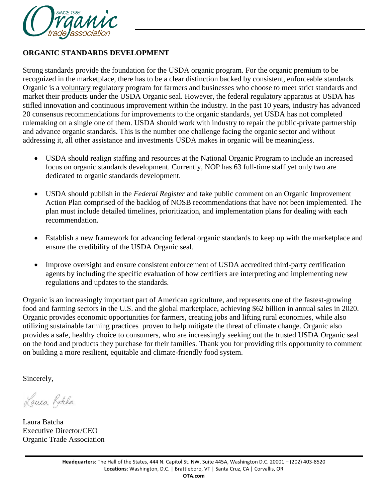

## **ORGANIC STANDARDS DEVELOPMENT**

Strong standards provide the foundation for the USDA organic program. For the organic premium to be recognized in the marketplace, there has to be a clear distinction backed by consistent, enforceable standards. Organic is a voluntary regulatory program for farmers and businesses who choose to meet strict standards and market their products under the USDA Organic seal. However, the federal regulatory apparatus at USDA has stifled innovation and continuous improvement within the industry. In the past 10 years, industry has advanced 20 consensus recommendations for improvements to the organic standards, yet USDA has not completed rulemaking on a single one of them. USDA should work with industry to repair the public-private partnership and advance organic standards. This is the number one challenge facing the organic sector and without addressing it, all other assistance and investments USDA makes in organic will be meaningless.

- USDA should realign staffing and resources at the National Organic Program to include an increased focus on organic standards development. Currently, NOP has 63 full-time staff yet only two are dedicated to organic standards development.
- USDA should publish in the *Federal Register* and take public comment on an Organic Improvement Action Plan comprised of the backlog of NOSB recommendations that have not been implemented. The plan must include detailed timelines, prioritization, and implementation plans for dealing with each recommendation.
- Establish a new framework for advancing federal organic standards to keep up with the marketplace and ensure the credibility of the USDA Organic seal.
- Improve oversight and ensure consistent enforcement of USDA accredited third-party certification agents by including the specific evaluation of how certifiers are interpreting and implementing new regulations and updates to the standards.

Organic is an increasingly important part of American agriculture, and represents one of the fastest-growing food and farming sectors in the U.S. and the global marketplace, achieving \$62 billion in annual sales in 2020. Organic provides economic opportunities for farmers, creating jobs and lifting rural economies, while also utilizing sustainable farming practices proven to help mitigate the threat of climate change. Organic also provides a safe, healthy choice to consumers, who are increasingly seeking out the trusted USDA Organic seal on the food and products they purchase for their families. Thank you for providing this opportunity to comment on building a more resilient, equitable and climate-friendly food system.

Sincerely,

Lauca Ratcha

Laura Batcha Executive Director/CEO Organic Trade Association